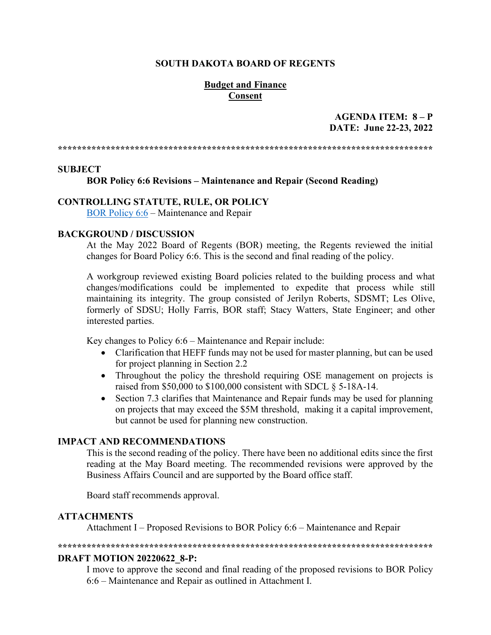#### **SOUTH DAKOTA BOARD OF REGENTS**

#### **Budget and Finance Consent**

#### **AGENDA ITEM: 8 – P DATE: June 22-23, 2022**

**\*\*\*\*\*\*\*\*\*\*\*\*\*\*\*\*\*\*\*\*\*\*\*\*\*\*\*\*\*\*\*\*\*\*\*\*\*\*\*\*\*\*\*\*\*\*\*\*\*\*\*\*\*\*\*\*\*\*\*\*\*\*\*\*\*\*\*\*\*\*\*\*\*\*\*\*\*\***

#### **SUBJECT**

#### **BOR Policy 6:6 Revisions – Maintenance and Repair (Second Reading)**

#### **CONTROLLING STATUTE, RULE, OR POLICY**

BOR [Policy 6:6](https://www.sdbor.edu/policy/documents/6-6.pdf) – Maintenance and Repair

#### **BACKGROUND / DISCUSSION**

At the May 2022 Board of Regents (BOR) meeting, the Regents reviewed the initial changes for Board Policy 6:6. This is the second and final reading of the policy.

A workgroup reviewed existing Board policies related to the building process and what changes/modifications could be implemented to expedite that process while still maintaining its integrity. The group consisted of Jerilyn Roberts, SDSMT; Les Olive, formerly of SDSU; Holly Farris, BOR staff; Stacy Watters, State Engineer; and other interested parties.

Key changes to Policy 6:6 – Maintenance and Repair include:

- Clarification that HEFF funds may not be used for master planning, but can be used for project planning in Section 2.2
- Throughout the policy the threshold requiring OSE management on projects is raised from \$50,000 to \$100,000 consistent with SDCL § 5-18A-14.
- Section 7.3 clarifies that Maintenance and Repair funds may be used for planning on projects that may exceed the \$5M threshold, making it a capital improvement, but cannot be used for planning new construction.

#### **IMPACT AND RECOMMENDATIONS**

This is the second reading of the policy. There have been no additional edits since the first reading at the May Board meeting. The recommended revisions were approved by the Business Affairs Council and are supported by the Board office staff.

Board staff recommends approval.

#### **ATTACHMENTS**

Attachment I – Proposed Revisions to BOR Policy 6:6 – Maintenance and Repair

**\*\*\*\*\*\*\*\*\*\*\*\*\*\*\*\*\*\*\*\*\*\*\*\*\*\*\*\*\*\*\*\*\*\*\*\*\*\*\*\*\*\*\*\*\*\*\*\*\*\*\*\*\*\*\*\*\*\*\*\*\*\*\*\*\*\*\*\*\*\*\*\*\*\*\*\*\*\***

#### **DRAFT MOTION 20220622\_8-P:**

I move to approve the second and final reading of the proposed revisions to BOR Policy 6:6 – Maintenance and Repair as outlined in Attachment I.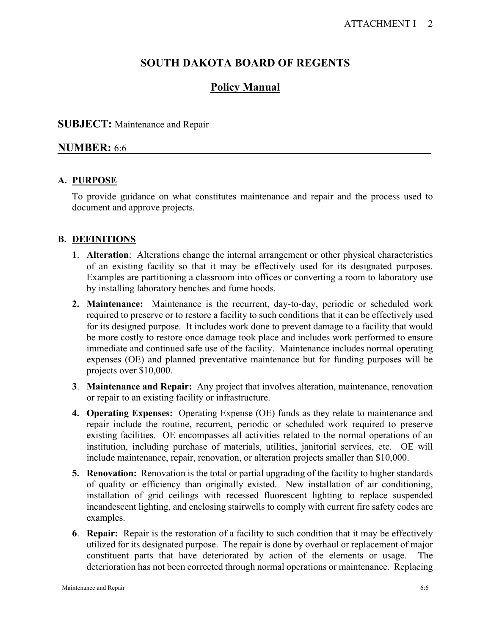# **SOUTH DAKOTA BOARD OF REGENTS**

# **Policy Manual**

# **SUBJECT:** Maintenance and Repair

# **NUMBER:** 6:6

# **A. PURPOSE**

To provide guidance on what constitutes maintenance and repair and the process used to document and approve projects.

# **B. DEFINITIONS**

- **1**. **Alteration**: Alterations change the internal arrangement or other physical characteristics of an existing facility so that it may be effectively used for its designated purposes. Examples are partitioning a classroom into offices or converting a room to laboratory use by installing laboratory benches and fume hoods.
- **2. Maintenance:** Maintenance is the recurrent, day-to-day, periodic or scheduled work required to preserve or to restore a facility to such conditions that it can be effectively used for its designed purpose. It includes work done to prevent damage to a facility that would be more costly to restore once damage took place and includes work performed to ensure immediate and continued safe use of the facility. Maintenance includes normal operating expenses (OE) and planned preventative maintenance but for funding purposes will be projects over \$10,000.
- **3**. **Maintenance and Repair:** Any project that involves alteration, maintenance, renovation or repair to an existing facility or infrastructure.
- **4. Operating Expenses:** Operating Expense (OE) funds as they relate to maintenance and repair include the routine, recurrent, periodic or scheduled work required to preserve existing facilities. OE encompasses all activities related to the normal operations of an institution, including purchase of materials, utilities, janitorial services, etc. OE will include maintenance, repair, renovation, or alteration projects smaller than \$10,000.
- **5. Renovation:** Renovation is the total or partial upgrading of the facility to higher standards of quality or efficiency than originally existed. New installation of air conditioning, installation of grid ceilings with recessed fluorescent lighting to replace suspended incandescent lighting, and enclosing stairwells to comply with current fire safety codes are examples.
- **6**. **Repair:** Repair is the restoration of a facility to such condition that it may be effectively utilized for its designated purpose. The repair is done by overhaul or replacement of major constituent parts that have deteriorated by action of the elements or usage. The deterioration has not been corrected through normal operations or maintenance. Replacing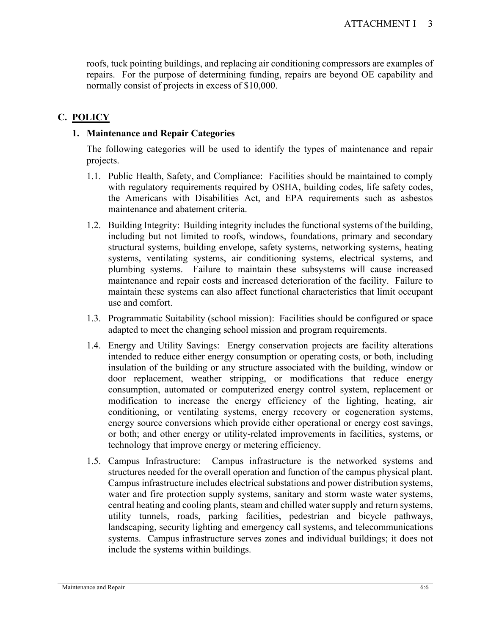roofs, tuck pointing buildings, and replacing air conditioning compressors are examples of repairs. For the purpose of determining funding, repairs are beyond OE capability and normally consist of projects in excess of \$10,000.

# **C. POLICY**

#### **1. Maintenance and Repair Categories**

The following categories will be used to identify the types of maintenance and repair projects.

- 1.1. Public Health, Safety, and Compliance: Facilities should be maintained to comply with regulatory requirements required by OSHA, building codes, life safety codes, the Americans with Disabilities Act, and EPA requirements such as asbestos maintenance and abatement criteria.
- 1.2. Building Integrity: Building integrity includes the functional systems of the building, including but not limited to roofs, windows, foundations, primary and secondary structural systems, building envelope, safety systems, networking systems, heating systems, ventilating systems, air conditioning systems, electrical systems, and plumbing systems. Failure to maintain these subsystems will cause increased maintenance and repair costs and increased deterioration of the facility. Failure to maintain these systems can also affect functional characteristics that limit occupant use and comfort.
- 1.3. Programmatic Suitability (school mission): Facilities should be configured or space adapted to meet the changing school mission and program requirements.
- 1.4. Energy and Utility Savings: Energy conservation projects are facility alterations intended to reduce either energy consumption or operating costs, or both, including insulation of the building or any structure associated with the building, window or door replacement, weather stripping, or modifications that reduce energy consumption, automated or computerized energy control system, replacement or modification to increase the energy efficiency of the lighting, heating, air conditioning, or ventilating systems, energy recovery or cogeneration systems, energy source conversions which provide either operational or energy cost savings, or both; and other energy or utility-related improvements in facilities, systems, or technology that improve energy or metering efficiency.
- 1.5. Campus Infrastructure: Campus infrastructure is the networked systems and structures needed for the overall operation and function of the campus physical plant. Campus infrastructure includes electrical substations and power distribution systems, water and fire protection supply systems, sanitary and storm waste water systems, central heating and cooling plants, steam and chilled water supply and return systems, utility tunnels, roads, parking facilities, pedestrian and bicycle pathways, landscaping, security lighting and emergency call systems, and telecommunications systems. Campus infrastructure serves zones and individual buildings; it does not include the systems within buildings.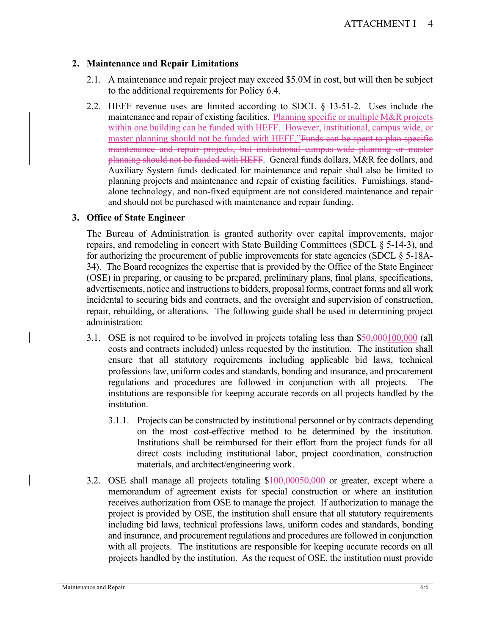### **2. Maintenance and Repair Limitations**

- 2.1. A maintenance and repair project may exceed \$5.0M in cost, but will then be subject to the additional requirements for Policy 6.4.
- 2.2. HEFF revenue uses are limited according to SDCL § 13-51-2. Uses include the maintenance and repair of existing facilities. Planning specific or multiple M&R projects within one building can be funded with HEFF. However, institutional, campus wide, or master planning should not be funded with HEFF."Funds can be spent to plan specific maintenance and repair projects, but institutional campus-wide planning or master planning should not be funded with HEFF. General funds dollars, M&R fee dollars, and Auxiliary System funds dedicated for maintenance and repair shall also be limited to planning projects and maintenance and repair of existing facilities. Furnishings, standalone technology, and non-fixed equipment are not considered maintenance and repair and should not be purchased with maintenance and repair funding.

### **3. Office of State Engineer**

The Bureau of Administration is granted authority over capital improvements, major repairs, and remodeling in concert with State Building Committees (SDCL § 5-14-3), and for authorizing the procurement of public improvements for state agencies (SDCL § 5-18A-34). The Board recognizes the expertise that is provided by the Office of the State Engineer (OSE) in preparing, or causing to be prepared, preliminary plans, final plans, specifications, advertisements, notice and instructions to bidders, proposal forms, contract forms and all work incidental to securing bids and contracts, and the oversight and supervision of construction, repair, rebuilding, or alterations. The following guide shall be used in determining project administration:

- 3.1. OSE is not required to be involved in projects totaling less than \$50,000100,000 (all costs and contracts included) unless requested by the institution. The institution shall ensure that all statutory requirements including applicable bid laws, technical professions law, uniform codes and standards, bonding and insurance, and procurement regulations and procedures are followed in conjunction with all projects. The institutions are responsible for keeping accurate records on all projects handled by the institution.
	- 3.1.1. Projects can be constructed by institutional personnel or by contracts depending on the most cost-effective method to be determined by the institution. Institutions shall be reimbursed for their effort from the project funds for all direct costs including institutional labor, project coordination, construction materials, and architect/engineering work.
- 3.2. OSE shall manage all projects totaling \$100,00050,000 or greater, except where a memorandum of agreement exists for special construction or where an institution receives authorization from OSE to manage the project. If authorization to manage the project is provided by OSE, the institution shall ensure that all statutory requirements including bid laws, technical professions laws, uniform codes and standards, bonding and insurance, and procurement regulations and procedures are followed in conjunction with all projects. The institutions are responsible for keeping accurate records on all projects handled by the institution. As the request of OSE, the institution must provide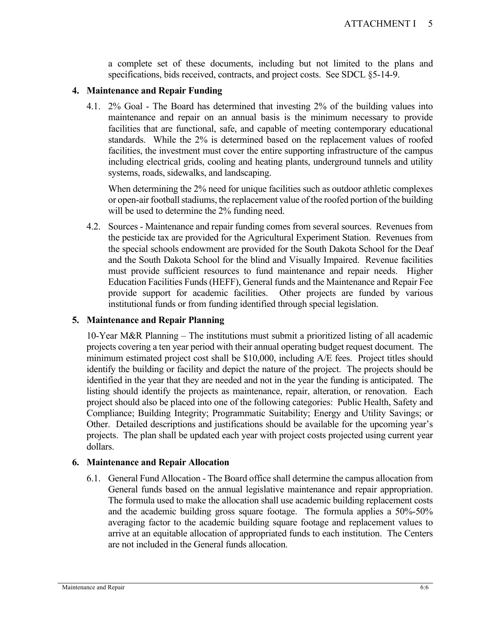a complete set of these documents, including but not limited to the plans and specifications, bids received, contracts, and project costs. See SDCL §5-14-9.

#### **4. Maintenance and Repair Funding**

4.1. 2% Goal - The Board has determined that investing 2% of the building values into maintenance and repair on an annual basis is the minimum necessary to provide facilities that are functional, safe, and capable of meeting contemporary educational standards. While the 2% is determined based on the replacement values of roofed facilities, the investment must cover the entire supporting infrastructure of the campus including electrical grids, cooling and heating plants, underground tunnels and utility systems, roads, sidewalks, and landscaping.

When determining the 2% need for unique facilities such as outdoor athletic complexes or open-air football stadiums, the replacement value of the roofed portion of the building will be used to determine the 2% funding need.

4.2. Sources - Maintenance and repair funding comes from several sources. Revenues from the pesticide tax are provided for the Agricultural Experiment Station. Revenues from the special schools endowment are provided for the South Dakota School for the Deaf and the South Dakota School for the blind and Visually Impaired. Revenue facilities must provide sufficient resources to fund maintenance and repair needs. Higher Education Facilities Funds (HEFF), General funds and the Maintenance and Repair Fee provide support for academic facilities. Other projects are funded by various institutional funds or from funding identified through special legislation.

#### **5. Maintenance and Repair Planning**

10-Year M&R Planning – The institutions must submit a prioritized listing of all academic projects covering a ten year period with their annual operating budget request document. The minimum estimated project cost shall be \$10,000, including A/E fees. Project titles should identify the building or facility and depict the nature of the project. The projects should be identified in the year that they are needed and not in the year the funding is anticipated. The listing should identify the projects as maintenance, repair, alteration, or renovation. Each project should also be placed into one of the following categories: Public Health, Safety and Compliance; Building Integrity; Programmatic Suitability; Energy and Utility Savings; or Other. Detailed descriptions and justifications should be available for the upcoming year's projects. The plan shall be updated each year with project costs projected using current year dollars.

### **6. Maintenance and Repair Allocation**

6.1. General Fund Allocation - The Board office shall determine the campus allocation from General funds based on the annual legislative maintenance and repair appropriation. The formula used to make the allocation shall use academic building replacement costs and the academic building gross square footage. The formula applies a 50%-50% averaging factor to the academic building square footage and replacement values to arrive at an equitable allocation of appropriated funds to each institution. The Centers are not included in the General funds allocation.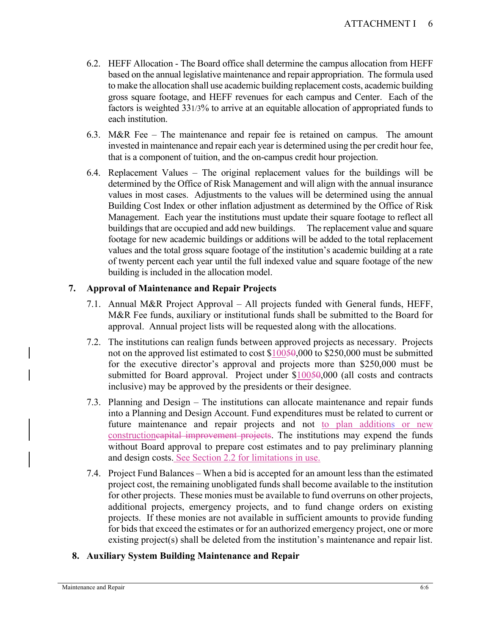- 6.2. HEFF Allocation The Board office shall determine the campus allocation from HEFF based on the annual legislative maintenance and repair appropriation. The formula used to make the allocation shall use academic building replacement costs, academic building gross square footage, and HEFF revenues for each campus and Center. Each of the factors is weighted 331/3% to arrive at an equitable allocation of appropriated funds to each institution.
- 6.3. M&R Fee The maintenance and repair fee is retained on campus. The amount invested in maintenance and repair each year is determined using the per credit hour fee, that is a component of tuition, and the on-campus credit hour projection.
- 6.4. Replacement Values The original replacement values for the buildings will be determined by the Office of Risk Management and will align with the annual insurance values in most cases. Adjustments to the values will be determined using the annual Building Cost Index or other inflation adjustment as determined by the Office of Risk Management. Each year the institutions must update their square footage to reflect all buildings that are occupied and add new buildings. The replacement value and square footage for new academic buildings or additions will be added to the total replacement values and the total gross square footage of the institution's academic building at a rate of twenty percent each year until the full indexed value and square footage of the new building is included in the allocation model.

# **7. Approval of Maintenance and Repair Projects**

- 7.1. Annual M&R Project Approval All projects funded with General funds, HEFF, M&R Fee funds, auxiliary or institutional funds shall be submitted to the Board for approval. Annual project lists will be requested along with the allocations.
- 7.2. The institutions can realign funds between approved projects as necessary. Projects not on the approved list estimated to cost \$10050,000 to \$250,000 must be submitted for the executive director's approval and projects more than \$250,000 must be submitted for Board approval. Project under \$10050,000 (all costs and contracts inclusive) may be approved by the presidents or their designee.
- 7.3. Planning and Design The institutions can allocate maintenance and repair funds into a Planning and Design Account. Fund expenditures must be related to current or future maintenance and repair projects and not to plan additions or new constructioneapital improvement projects. The institutions may expend the funds without Board approval to prepare cost estimates and to pay preliminary planning and design costs. See Section 2.2 for limitations in use.
- 7.4. Project Fund Balances When a bid is accepted for an amount less than the estimated project cost, the remaining unobligated funds shall become available to the institution for other projects. These monies must be available to fund overruns on other projects, additional projects, emergency projects, and to fund change orders on existing projects. If these monies are not available in sufficient amounts to provide funding for bids that exceed the estimates or for an authorized emergency project, one or more existing project(s) shall be deleted from the institution's maintenance and repair list.

### **8. Auxiliary System Building Maintenance and Repair**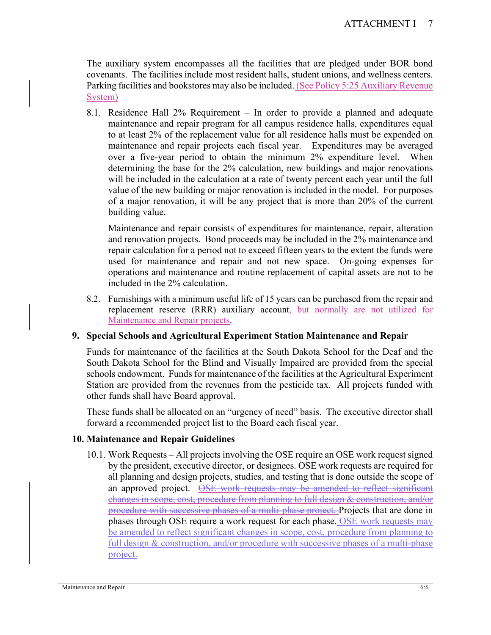The auxiliary system encompasses all the facilities that are pledged under BOR bond covenants. The facilities include most resident halls, student unions, and wellness centers. Parking facilities and bookstores may also be included. (See Policy 5:25 Auxiliary Revenue System)

8.1. Residence Hall 2% Requirement – In order to provide a planned and adequate maintenance and repair program for all campus residence halls, expenditures equal to at least 2% of the replacement value for all residence halls must be expended on maintenance and repair projects each fiscal year. Expenditures may be averaged over a five-year period to obtain the minimum 2% expenditure level. When determining the base for the 2% calculation, new buildings and major renovations will be included in the calculation at a rate of twenty percent each year until the full value of the new building or major renovation is included in the model. For purposes of a major renovation, it will be any project that is more than 20% of the current building value.

Maintenance and repair consists of expenditures for maintenance, repair, alteration and renovation projects. Bond proceeds may be included in the 2% maintenance and repair calculation for a period not to exceed fifteen years to the extent the funds were used for maintenance and repair and not new space. On-going expenses for operations and maintenance and routine replacement of capital assets are not to be included in the 2% calculation.

8.2. Furnishings with a minimum useful life of 15 years can be purchased from the repair and replacement reserve (RRR) auxiliary account, but normally are not utilized for Maintenance and Repair projects.

### **9. Special Schools and Agricultural Experiment Station Maintenance and Repair**

Funds for maintenance of the facilities at the South Dakota School for the Deaf and the South Dakota School for the Blind and Visually Impaired are provided from the special schools endowment. Funds for maintenance of the facilities at the Agricultural Experiment Station are provided from the revenues from the pesticide tax. All projects funded with other funds shall have Board approval.

These funds shall be allocated on an "urgency of need" basis. The executive director shall forward a recommended project list to the Board each fiscal year.

### **10. Maintenance and Repair Guidelines**

10.1. Work Requests – All projects involving the OSE require an OSE work request signed by the president, executive director, or designees. OSE work requests are required for all planning and design projects, studies, and testing that is done outside the scope of an approved project. **OSE** work requests may be amended to reflect significant changes in scope, cost, procedure from planning to full design & construction, and/or procedure with successive phases of a multi-phase project. Projects that are done in phases through OSE require a work request for each phase. OSE work requests may be amended to reflect significant changes in scope, cost, procedure from planning to full design & construction, and/or procedure with successive phases of a multi-phase project.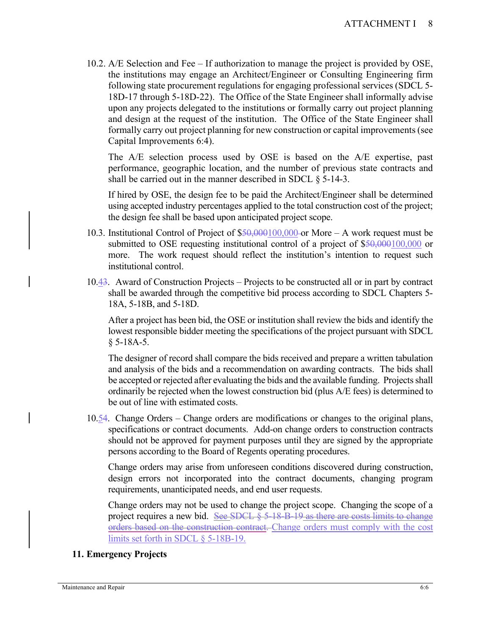10.2. A/E Selection and Fee – If authorization to manage the project is provided by OSE, the institutions may engage an Architect/Engineer or Consulting Engineering firm following state procurement regulations for engaging professional services (SDCL 5- 18D-17 through 5-18D-22). The Office of the State Engineer shall informally advise upon any projects delegated to the institutions or formally carry out project planning and design at the request of the institution. The Office of the State Engineer shall formally carry out project planning for new construction or capital improvements (see Capital Improvements 6:4).

The A/E selection process used by OSE is based on the A/E expertise, past performance, geographic location, and the number of previous state contracts and shall be carried out in the manner described in SDCL § 5-14-3.

If hired by OSE, the design fee to be paid the Architect/Engineer shall be determined using accepted industry percentages applied to the total construction cost of the project; the design fee shall be based upon anticipated project scope.

- 10.3. Institutional Control of Project of  $$50,000100,000$  or More A work request must be submitted to OSE requesting institutional control of a project of \$50,000100,000 or more. The work request should reflect the institution's intention to request such institutional control.
- 10.43. Award of Construction Projects Projects to be constructed all or in part by contract shall be awarded through the competitive bid process according to SDCL Chapters 5- 18A, 5-18B, and 5-18D.

After a project has been bid, the OSE or institution shall review the bids and identify the lowest responsible bidder meeting the specifications of the project pursuant with SDCL § 5-18A-5.

The designer of record shall compare the bids received and prepare a written tabulation and analysis of the bids and a recommendation on awarding contracts. The bids shall be accepted or rejected after evaluating the bids and the available funding. Projects shall ordinarily be rejected when the lowest construction bid (plus A/E fees) is determined to be out of line with estimated costs.

10.54. Change Orders – Change orders are modifications or changes to the original plans, specifications or contract documents. Add-on change orders to construction contracts should not be approved for payment purposes until they are signed by the appropriate persons according to the Board of Regents operating procedures.

Change orders may arise from unforeseen conditions discovered during construction, design errors not incorporated into the contract documents, changing program requirements, unanticipated needs, and end user requests.

Change orders may not be used to change the project scope. Changing the scope of a project requires a new bid. See SDCL § 5-18-B-19 as there are costs limits to change orders based on the construction contract. Change orders must comply with the cost limits set forth in SDCL § 5-18B-19.

### **11. Emergency Projects**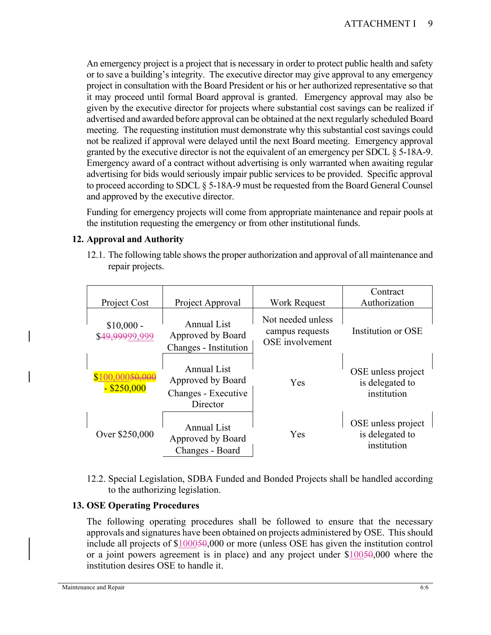An emergency project is a project that is necessary in order to protect public health and safety or to save a building's integrity. The executive director may give approval to any emergency project in consultation with the Board President or his or her authorized representative so that it may proceed until formal Board approval is granted. Emergency approval may also be given by the executive director for projects where substantial cost savings can be realized if advertised and awarded before approval can be obtained at the next regularly scheduled Board meeting. The requesting institution must demonstrate why this substantial cost savings could not be realized if approval were delayed until the next Board meeting. Emergency approval granted by the executive director is not the equivalent of an emergency per SDCL § 5-18A-9. Emergency award of a contract without advertising is only warranted when awaiting regular advertising for bids would seriously impair public services to be provided. Specific approval to proceed according to SDCL § 5-18A-9 must be requested from the Board General Counsel and approved by the executive director.

Funding for emergency projects will come from appropriate maintenance and repair pools at the institution requesting the emergency or from other institutional funds.

# **12. Approval and Authority**

12.1. The following table shows the proper authorization and approval of all maintenance and repair projects.

|                                        |                                                                     |                                                         | Contract                                             |
|----------------------------------------|---------------------------------------------------------------------|---------------------------------------------------------|------------------------------------------------------|
| Project Cost                           | Project Approval                                                    | <b>Work Request</b>                                     | Authorization                                        |
| $$10,000 -$<br>\$49,99999,999          | Annual List<br>Approved by Board<br>Changes - Institution           | Not needed unless<br>campus requests<br>OSE involvement | Institution or OSE                                   |
| )00 <del>50.000</del><br>$-$ \$250,000 | Annual List<br>Approved by Board<br>Changes - Executive<br>Director | <b>Yes</b>                                              | OSE unless project<br>is delegated to<br>institution |
| Over \$250,000                         | <b>Annual List</b><br>Approved by Board<br>Changes - Board          | <b>Yes</b>                                              | OSE unless project<br>is delegated to<br>institution |

12.2. Special Legislation, SDBA Funded and Bonded Projects shall be handled according to the authorizing legislation.

# **13. OSE Operating Procedures**

The following operating procedures shall be followed to ensure that the necessary approvals and signatures have been obtained on projects administered by OSE. This should include all projects of \$100050,000 or more (unless OSE has given the institution control or a joint powers agreement is in place) and any project under  $$10050,000$  where the institution desires OSE to handle it.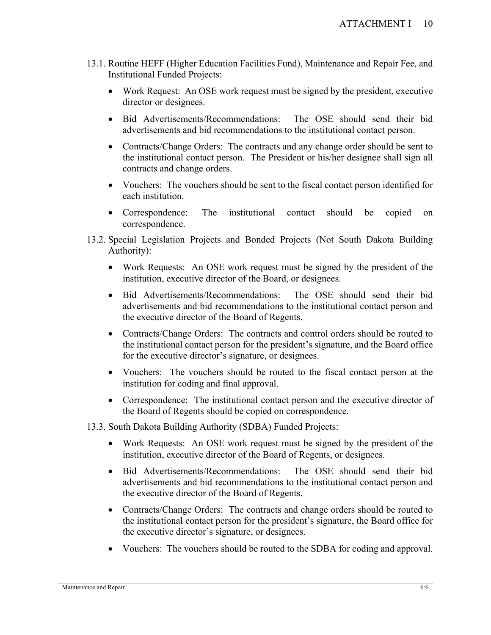- 13.1. Routine HEFF (Higher Education Facilities Fund), Maintenance and Repair Fee, and Institutional Funded Projects:
	- Work Request: An OSE work request must be signed by the president, executive director or designees.
	- Bid Advertisements/Recommendations: The OSE should send their bid advertisements and bid recommendations to the institutional contact person.
	- Contracts/Change Orders: The contracts and any change order should be sent to the institutional contact person. The President or his/her designee shall sign all contracts and change orders.
	- Vouchers: The vouchers should be sent to the fiscal contact person identified for each institution.
	- Correspondence: The institutional contact should be copied on correspondence.
- 13.2. Special Legislation Projects and Bonded Projects (Not South Dakota Building Authority):
	- Work Requests: An OSE work request must be signed by the president of the institution, executive director of the Board, or designees.
	- Bid Advertisements/Recommendations: The OSE should send their bid advertisements and bid recommendations to the institutional contact person and the executive director of the Board of Regents.
	- Contracts/Change Orders: The contracts and control orders should be routed to the institutional contact person for the president's signature, and the Board office for the executive director's signature, or designees.
	- Vouchers: The vouchers should be routed to the fiscal contact person at the institution for coding and final approval.
	- Correspondence: The institutional contact person and the executive director of the Board of Regents should be copied on correspondence.
- 13.3. South Dakota Building Authority (SDBA) Funded Projects:
	- Work Requests: An OSE work request must be signed by the president of the institution, executive director of the Board of Regents, or designees.
	- Bid Advertisements/Recommendations: The OSE should send their bid advertisements and bid recommendations to the institutional contact person and the executive director of the Board of Regents.
	- Contracts/Change Orders: The contracts and change orders should be routed to the institutional contact person for the president's signature, the Board office for the executive director's signature, or designees.
	- Vouchers: The vouchers should be routed to the SDBA for coding and approval.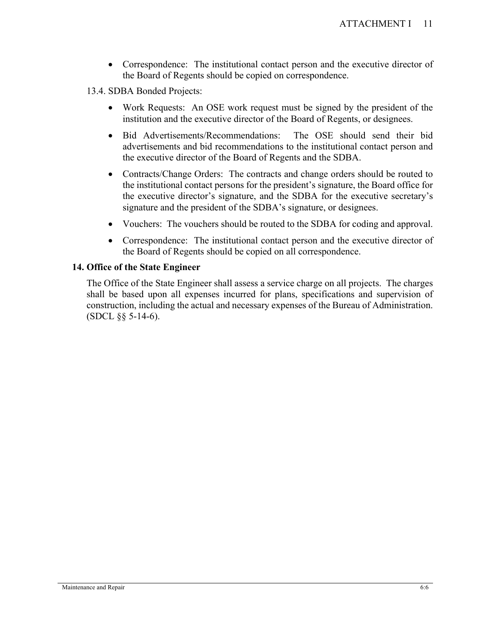- Correspondence: The institutional contact person and the executive director of the Board of Regents should be copied on correspondence.
- 13.4. SDBA Bonded Projects:
	- Work Requests: An OSE work request must be signed by the president of the institution and the executive director of the Board of Regents, or designees.
	- Bid Advertisements/Recommendations: The OSE should send their bid advertisements and bid recommendations to the institutional contact person and the executive director of the Board of Regents and the SDBA.
	- Contracts/Change Orders: The contracts and change orders should be routed to the institutional contact persons for the president's signature, the Board office for the executive director's signature, and the SDBA for the executive secretary's signature and the president of the SDBA's signature, or designees.
	- Vouchers: The vouchers should be routed to the SDBA for coding and approval.
	- Correspondence: The institutional contact person and the executive director of the Board of Regents should be copied on all correspondence.

#### **14. Office of the State Engineer**

The Office of the State Engineer shall assess a service charge on all projects. The charges shall be based upon all expenses incurred for plans, specifications and supervision of construction, including the actual and necessary expenses of the Bureau of Administration. (SDCL §§ 5-14-6).